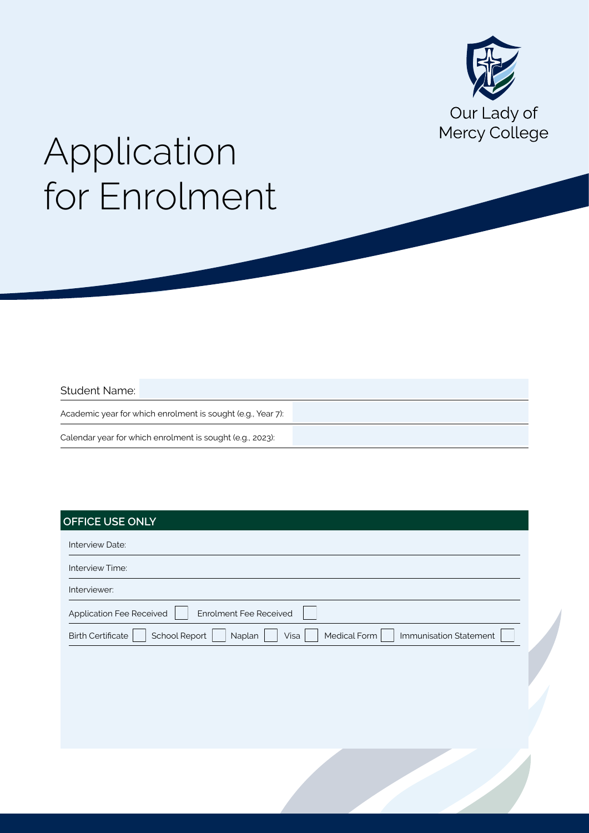

# Application for Enrolment

#### Student Name:

Academic year for which enrolment is sought (e.g., Year 7): Calendar year for which enrolment is sought (e.g., 2023):

## **OFFICE USE ONLY**

| Interview Date:                                                                                              |  |  |  |  |  |  |
|--------------------------------------------------------------------------------------------------------------|--|--|--|--|--|--|
| Interview Time:                                                                                              |  |  |  |  |  |  |
| Interviewer:                                                                                                 |  |  |  |  |  |  |
| Enrolment Fee Received<br>Application Fee Received                                                           |  |  |  |  |  |  |
| <b>School Report</b><br>Immunisation Statement<br>Medical Form<br><b>Birth Certificate</b><br>Visa<br>Naplan |  |  |  |  |  |  |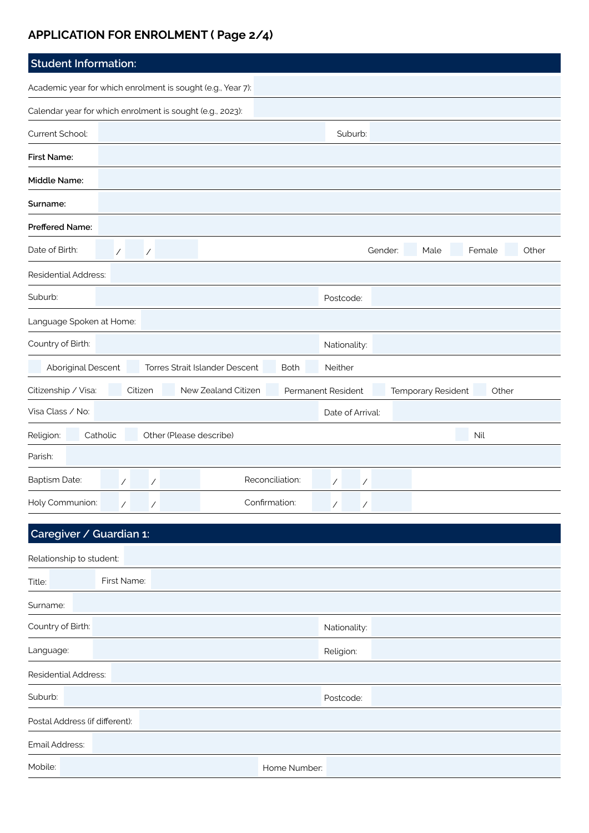# **APPLICATION FOR ENROLMENT ( Page 2/4)**

| <b>Student Information:</b>                                 |                                                                                |         |                          |  |                     |                    |                          |                          |         |                    |        |       |
|-------------------------------------------------------------|--------------------------------------------------------------------------------|---------|--------------------------|--|---------------------|--------------------|--------------------------|--------------------------|---------|--------------------|--------|-------|
| Academic year for which enrolment is sought (e.g., Year 7): |                                                                                |         |                          |  |                     |                    |                          |                          |         |                    |        |       |
| Calendar year for which enrolment is sought (e.g., 2023):   |                                                                                |         |                          |  |                     |                    |                          |                          |         |                    |        |       |
| Current School:                                             |                                                                                |         |                          |  |                     |                    |                          | Suburb:                  |         |                    |        |       |
| <b>First Name:</b>                                          |                                                                                |         |                          |  |                     |                    |                          |                          |         |                    |        |       |
| Middle Name:                                                |                                                                                |         |                          |  |                     |                    |                          |                          |         |                    |        |       |
| Surname:                                                    |                                                                                |         |                          |  |                     |                    |                          |                          |         |                    |        |       |
| Preffered Name:                                             |                                                                                |         |                          |  |                     |                    |                          |                          |         |                    |        |       |
| Date of Birth:                                              | $\overline{ }$                                                                 |         | $\overline{\phantom{a}}$ |  |                     |                    |                          |                          | Gender: | Male               | Female | Other |
| <b>Residential Address:</b>                                 |                                                                                |         |                          |  |                     |                    |                          |                          |         |                    |        |       |
| Suburb:                                                     |                                                                                |         |                          |  |                     |                    |                          | Postcode:                |         |                    |        |       |
| Language Spoken at Home:                                    |                                                                                |         |                          |  |                     |                    |                          |                          |         |                    |        |       |
| Country of Birth:                                           |                                                                                |         |                          |  |                     |                    |                          | Nationality:             |         |                    |        |       |
|                                                             | Aboriginal Descent<br>Torres Strait Islander Descent<br>Neither<br><b>Both</b> |         |                          |  |                     |                    |                          |                          |         |                    |        |       |
| Citizenship / Visa:                                         |                                                                                | Citizen |                          |  | New Zealand Citizen | Permanent Resident |                          |                          |         | Temporary Resident | Other  |       |
| Visa Class / No:                                            |                                                                                |         |                          |  |                     |                    |                          | Date of Arrival:         |         |                    |        |       |
| Other (Please describe)<br>Religion:<br>Catholic<br>Nil     |                                                                                |         |                          |  |                     |                    |                          |                          |         |                    |        |       |
| Parish:                                                     |                                                                                |         |                          |  |                     |                    |                          |                          |         |                    |        |       |
| Baptism Date:                                               | $\overline{1}$                                                                 |         | $\overline{\phantom{a}}$ |  |                     | Reconciliation:    | $\overline{\phantom{a}}$ | $\overline{\phantom{a}}$ |         |                    |        |       |
| Holy Communion:                                             |                                                                                | Ϊ       | Ϊ                        |  |                     | Confirmation:      | Γ                        | Γ                        |         |                    |        |       |

| Caregiver / Guardian 1:        |              |  |  |  |  |  |  |  |
|--------------------------------|--------------|--|--|--|--|--|--|--|
| Relationship to student:       |              |  |  |  |  |  |  |  |
| First Name:<br>Title:          |              |  |  |  |  |  |  |  |
| Surname:                       |              |  |  |  |  |  |  |  |
| Country of Birth:              | Nationality: |  |  |  |  |  |  |  |
| Language:                      | Religion:    |  |  |  |  |  |  |  |
| <b>Residential Address:</b>    |              |  |  |  |  |  |  |  |
| Suburb:                        | Postcode:    |  |  |  |  |  |  |  |
| Postal Address (if different): |              |  |  |  |  |  |  |  |
| Email Address:                 |              |  |  |  |  |  |  |  |
| Mobile:                        | Home Number: |  |  |  |  |  |  |  |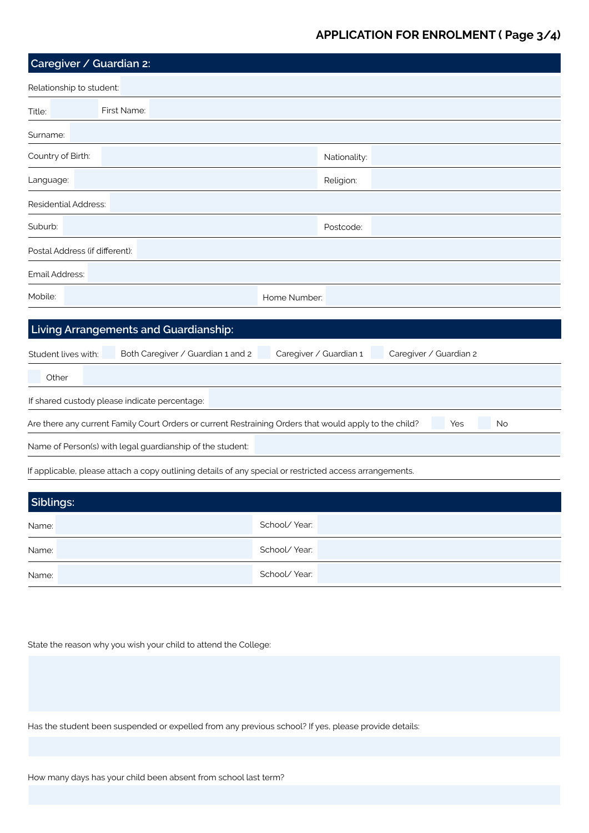## **APPLICATION FOR ENROLMENT ( Page 3/4)**

| Caregiver / Guardian 2:                                   |                                                                                                         |                        |              |                        |     |    |
|-----------------------------------------------------------|---------------------------------------------------------------------------------------------------------|------------------------|--------------|------------------------|-----|----|
| Relationship to student:                                  |                                                                                                         |                        |              |                        |     |    |
| Title:                                                    | First Name:                                                                                             |                        |              |                        |     |    |
| Surname:                                                  |                                                                                                         |                        |              |                        |     |    |
| Country of Birth:                                         |                                                                                                         |                        | Nationality: |                        |     |    |
| Language:                                                 |                                                                                                         |                        | Religion:    |                        |     |    |
| <b>Residential Address:</b>                               |                                                                                                         |                        |              |                        |     |    |
| Suburb:                                                   |                                                                                                         |                        | Postcode:    |                        |     |    |
| Postal Address (if different):                            |                                                                                                         |                        |              |                        |     |    |
| Email Address:                                            |                                                                                                         |                        |              |                        |     |    |
| Mobile:                                                   |                                                                                                         | Home Number:           |              |                        |     |    |
|                                                           | Living Arrangements and Guardianship:                                                                   |                        |              |                        |     |    |
| Student lives with:                                       | Both Caregiver / Guardian 1 and 2                                                                       | Caregiver / Guardian 1 |              | Caregiver / Guardian 2 |     |    |
| Other                                                     |                                                                                                         |                        |              |                        |     |    |
|                                                           | If shared custody please indicate percentage:                                                           |                        |              |                        |     |    |
|                                                           | Are there any current Family Court Orders or current Restraining Orders that would apply to the child?  |                        |              |                        | Yes | No |
| Name of Person(s) with legal guardianship of the student: |                                                                                                         |                        |              |                        |     |    |
|                                                           | If applicable, please attach a copy outlining details of any special or restricted access arrangements. |                        |              |                        |     |    |
|                                                           |                                                                                                         |                        |              |                        |     |    |
| Siblings:                                                 |                                                                                                         |                        |              |                        |     |    |
| Name:                                                     |                                                                                                         | School/Year:           |              |                        |     |    |
| Name:                                                     |                                                                                                         | School/Year:           |              |                        |     |    |
| Name:                                                     |                                                                                                         | School/Year:           |              |                        |     |    |

State the reason why you wish your child to attend the College:

Has the student been suspended or expelled from any previous school? If yes, please provide details:

How many days has your child been absent from school last term?